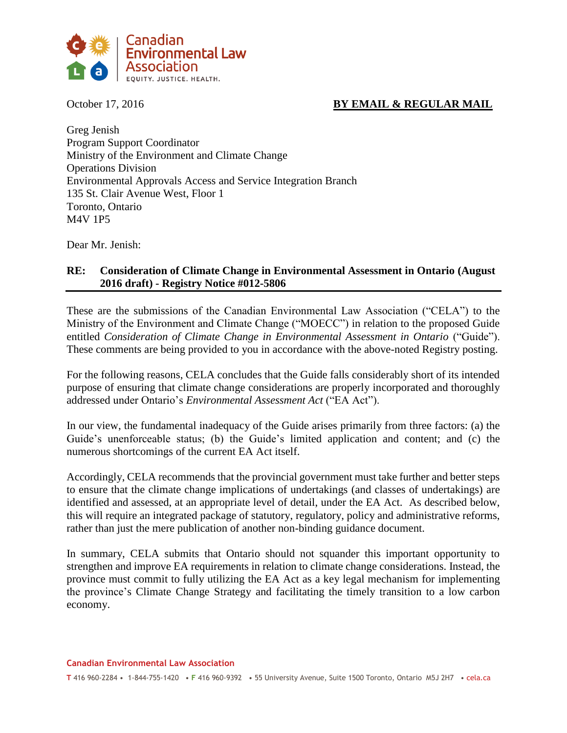

# October 17, 2016 **BY EMAIL & REGULAR MAIL**

Greg Jenish Program Support Coordinator Ministry of the Environment and Climate Change Operations Division Environmental Approvals Access and Service Integration Branch 135 St. Clair Avenue West, Floor 1 Toronto, Ontario M4V 1P5

Dear Mr. Jenish:

## **RE: Consideration of Climate Change in Environmental Assessment in Ontario (August 2016 draft) - Registry Notice #012-5806**

These are the submissions of the Canadian Environmental Law Association ("CELA") to the Ministry of the Environment and Climate Change ("MOECC") in relation to the proposed Guide entitled *Consideration of Climate Change in Environmental Assessment in Ontario* ("Guide"). These comments are being provided to you in accordance with the above-noted Registry posting.

For the following reasons, CELA concludes that the Guide falls considerably short of its intended purpose of ensuring that climate change considerations are properly incorporated and thoroughly addressed under Ontario's *Environmental Assessment Act* ("EA Act").

In our view, the fundamental inadequacy of the Guide arises primarily from three factors: (a) the Guide's unenforceable status; (b) the Guide's limited application and content; and (c) the numerous shortcomings of the current EA Act itself.

Accordingly, CELA recommends that the provincial government must take further and better steps to ensure that the climate change implications of undertakings (and classes of undertakings) are identified and assessed, at an appropriate level of detail, under the EA Act. As described below, this will require an integrated package of statutory, regulatory, policy and administrative reforms, rather than just the mere publication of another non-binding guidance document.

In summary, CELA submits that Ontario should not squander this important opportunity to strengthen and improve EA requirements in relation to climate change considerations. Instead, the province must commit to fully utilizing the EA Act as a key legal mechanism for implementing the province's Climate Change Strategy and facilitating the timely transition to a low carbon economy.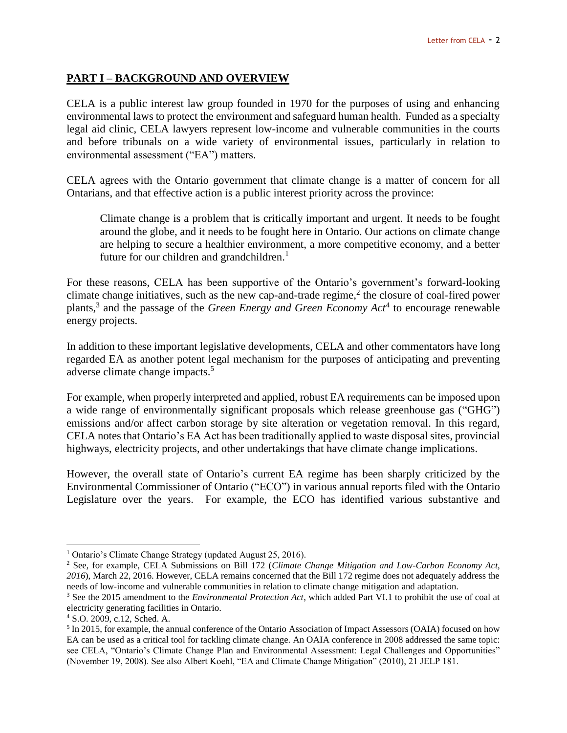# **PART I – BACKGROUND AND OVERVIEW**

CELA is a public interest law group founded in 1970 for the purposes of using and enhancing environmental laws to protect the environment and safeguard human health. Funded as a specialty legal aid clinic, CELA lawyers represent low-income and vulnerable communities in the courts and before tribunals on a wide variety of environmental issues, particularly in relation to environmental assessment ("EA") matters.

CELA agrees with the Ontario government that climate change is a matter of concern for all Ontarians, and that effective action is a public interest priority across the province:

Climate change is a problem that is critically important and urgent. It needs to be fought around the globe, and it needs to be fought here in Ontario. Our actions on climate change are helping to secure a healthier environment, a more competitive economy, and a better future for our children and grandchildren.<sup>1</sup>

For these reasons, CELA has been supportive of the Ontario's government's forward-looking climate change initiatives, such as the new cap-and-trade regime, 2 the closure of coal-fired power plants, 3 and the passage of the *Green Energy and Green Economy Act*<sup>4</sup> to encourage renewable energy projects.

In addition to these important legislative developments, CELA and other commentators have long regarded EA as another potent legal mechanism for the purposes of anticipating and preventing adverse climate change impacts.<sup>5</sup>

For example, when properly interpreted and applied, robust EA requirements can be imposed upon a wide range of environmentally significant proposals which release greenhouse gas ("GHG") emissions and/or affect carbon storage by site alteration or vegetation removal. In this regard, CELA notes that Ontario's EA Act has been traditionally applied to waste disposal sites, provincial highways, electricity projects, and other undertakings that have climate change implications.

However, the overall state of Ontario's current EA regime has been sharply criticized by the Environmental Commissioner of Ontario ("ECO") in various annual reports filed with the Ontario Legislature over the years. For example, the ECO has identified various substantive and

<sup>1</sup> Ontario's Climate Change Strategy (updated August 25, 2016).

<sup>2</sup> See, for example, CELA Submissions on Bill 172 (*Climate Change Mitigation and Low-Carbon Economy Act, 2016*), March 22, 2016. However, CELA remains concerned that the Bill 172 regime does not adequately address the needs of low-income and vulnerable communities in relation to climate change mitigation and adaptation.

<sup>3</sup> See the 2015 amendment to the *Environmental Protection Act*, which added Part VI.1 to prohibit the use of coal at electricity generating facilities in Ontario.

<sup>4</sup> S.O. 2009, c.12, Sched. A.

<sup>&</sup>lt;sup>5</sup> In 2015, for example, the annual conference of the Ontario Association of Impact Assessors (OAIA) focused on how EA can be used as a critical tool for tackling climate change. An OAIA conference in 2008 addressed the same topic: see CELA, "Ontario's Climate Change Plan and Environmental Assessment: Legal Challenges and Opportunities" (November 19, 2008). See also Albert Koehl, "EA and Climate Change Mitigation" (2010), 21 JELP 181.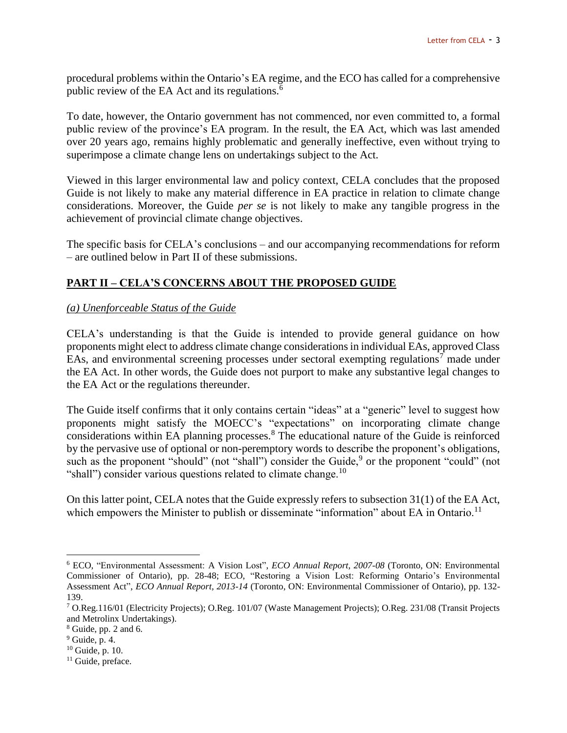procedural problems within the Ontario's EA regime, and the ECO has called for a comprehensive public review of the EA Act and its regulations.<sup>6</sup>

To date, however, the Ontario government has not commenced, nor even committed to, a formal public review of the province's EA program. In the result, the EA Act, which was last amended over 20 years ago, remains highly problematic and generally ineffective, even without trying to superimpose a climate change lens on undertakings subject to the Act.

Viewed in this larger environmental law and policy context, CELA concludes that the proposed Guide is not likely to make any material difference in EA practice in relation to climate change considerations. Moreover, the Guide *per se* is not likely to make any tangible progress in the achievement of provincial climate change objectives.

The specific basis for CELA's conclusions – and our accompanying recommendations for reform – are outlined below in Part II of these submissions.

# **PART II – CELA'S CONCERNS ABOUT THE PROPOSED GUIDE**

#### *(a) Unenforceable Status of the Guide*

CELA's understanding is that the Guide is intended to provide general guidance on how proponents might elect to address climate change considerations in individual EAs, approved Class EAs, and environmental screening processes under sectoral exempting regulations<sup>7</sup> made under the EA Act. In other words, the Guide does not purport to make any substantive legal changes to the EA Act or the regulations thereunder.

The Guide itself confirms that it only contains certain "ideas" at a "generic" level to suggest how proponents might satisfy the MOECC's "expectations" on incorporating climate change considerations within EA planning processes.<sup>8</sup> The educational nature of the Guide is reinforced by the pervasive use of optional or non-peremptory words to describe the proponent's obligations, such as the proponent "should" (not "shall") consider the Guide,<sup>9</sup> or the proponent "could" (not "shall") consider various questions related to climate change.<sup>10</sup>

On this latter point, CELA notes that the Guide expressly refers to subsection 31(1) of the EA Act, which empowers the Minister to publish or disseminate "information" about EA in Ontario.<sup>11</sup>

<sup>6</sup> ECO, "Environmental Assessment: A Vision Lost", *ECO Annual Report, 2007-08* (Toronto, ON: Environmental Commissioner of Ontario), pp. 28-48; ECO, "Restoring a Vision Lost: Reforming Ontario's Environmental Assessment Act", *ECO Annual Report, 2013-14* (Toronto, ON: Environmental Commissioner of Ontario), pp. 132- 139.

<sup>7</sup> O.Reg.116/01 (Electricity Projects); O.Reg. 101/07 (Waste Management Projects); O.Reg. 231/08 (Transit Projects and Metrolinx Undertakings).

<sup>8</sup> Guide, pp. 2 and 6.

 $9$  Guide, p. 4.

<sup>10</sup> Guide, p. 10.

<sup>&</sup>lt;sup>11</sup> Guide, preface.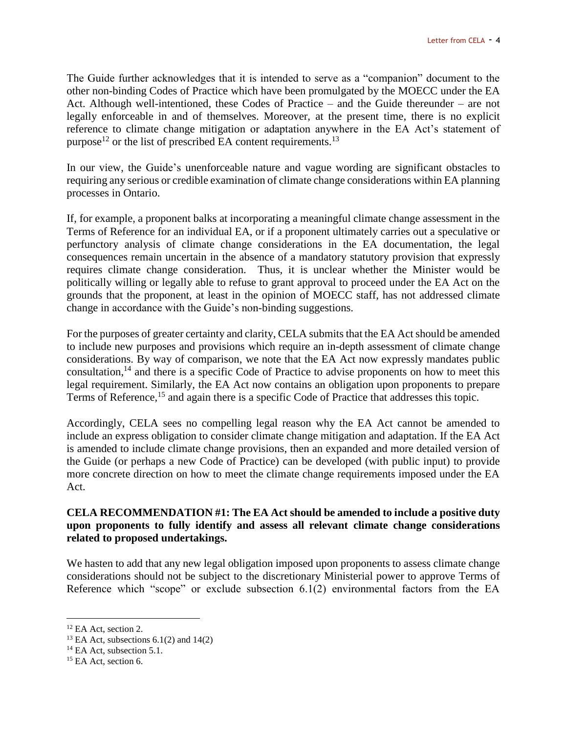The Guide further acknowledges that it is intended to serve as a "companion" document to the other non-binding Codes of Practice which have been promulgated by the MOECC under the EA Act. Although well-intentioned, these Codes of Practice – and the Guide thereunder – are not legally enforceable in and of themselves. Moreover, at the present time, there is no explicit reference to climate change mitigation or adaptation anywhere in the EA Act's statement of purpose<sup>12</sup> or the list of prescribed EA content requirements.<sup>13</sup>

In our view, the Guide's unenforceable nature and vague wording are significant obstacles to requiring any serious or credible examination of climate change considerations within EA planning processes in Ontario.

If, for example, a proponent balks at incorporating a meaningful climate change assessment in the Terms of Reference for an individual EA, or if a proponent ultimately carries out a speculative or perfunctory analysis of climate change considerations in the EA documentation, the legal consequences remain uncertain in the absence of a mandatory statutory provision that expressly requires climate change consideration. Thus, it is unclear whether the Minister would be politically willing or legally able to refuse to grant approval to proceed under the EA Act on the grounds that the proponent, at least in the opinion of MOECC staff, has not addressed climate change in accordance with the Guide's non-binding suggestions.

For the purposes of greater certainty and clarity, CELA submits that the EA Act should be amended to include new purposes and provisions which require an in-depth assessment of climate change considerations. By way of comparison, we note that the EA Act now expressly mandates public consultation, <sup>14</sup> and there is a specific Code of Practice to advise proponents on how to meet this legal requirement. Similarly, the EA Act now contains an obligation upon proponents to prepare Terms of Reference,<sup>15</sup> and again there is a specific Code of Practice that addresses this topic.

Accordingly, CELA sees no compelling legal reason why the EA Act cannot be amended to include an express obligation to consider climate change mitigation and adaptation. If the EA Act is amended to include climate change provisions, then an expanded and more detailed version of the Guide (or perhaps a new Code of Practice) can be developed (with public input) to provide more concrete direction on how to meet the climate change requirements imposed under the EA Act.

#### **CELA RECOMMENDATION #1: The EA Act should be amended to include a positive duty upon proponents to fully identify and assess all relevant climate change considerations related to proposed undertakings.**

We hasten to add that any new legal obligation imposed upon proponents to assess climate change considerations should not be subject to the discretionary Ministerial power to approve Terms of Reference which "scope" or exclude subsection 6.1(2) environmental factors from the EA

<sup>&</sup>lt;sup>12</sup> EA Act, section 2.

<sup>&</sup>lt;sup>13</sup> EA Act, subsections  $6.1(2)$  and  $14(2)$ 

<sup>&</sup>lt;sup>14</sup> EA Act, subsection 5.1.

<sup>&</sup>lt;sup>15</sup> EA Act, section 6.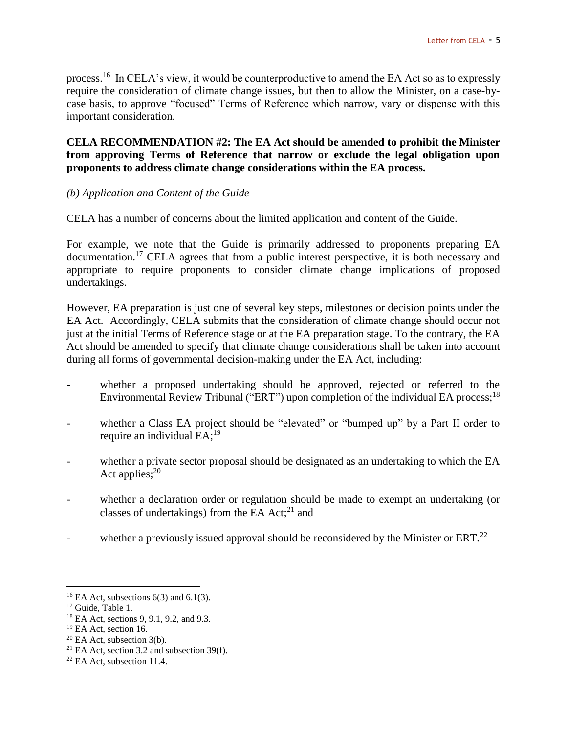process.<sup>16</sup> In CELA's view, it would be counterproductive to amend the EA Act so as to expressly require the consideration of climate change issues, but then to allow the Minister, on a case-bycase basis, to approve "focused" Terms of Reference which narrow, vary or dispense with this important consideration.

#### **CELA RECOMMENDATION #2: The EA Act should be amended to prohibit the Minister from approving Terms of Reference that narrow or exclude the legal obligation upon proponents to address climate change considerations within the EA process.**

#### *(b) Application and Content of the Guide*

CELA has a number of concerns about the limited application and content of the Guide.

For example, we note that the Guide is primarily addressed to proponents preparing EA documentation.<sup>17</sup> CELA agrees that from a public interest perspective, it is both necessary and appropriate to require proponents to consider climate change implications of proposed undertakings.

However, EA preparation is just one of several key steps, milestones or decision points under the EA Act. Accordingly, CELA submits that the consideration of climate change should occur not just at the initial Terms of Reference stage or at the EA preparation stage. To the contrary, the EA Act should be amended to specify that climate change considerations shall be taken into account during all forms of governmental decision-making under the EA Act, including:

- whether a proposed undertaking should be approved, rejected or referred to the Environmental Review Tribunal ("ERT") upon completion of the individual EA process;  $^{18}$
- whether a Class EA project should be "elevated" or "bumped up" by a Part II order to require an individual  $EA:^{19}$
- whether a private sector proposal should be designated as an undertaking to which the EA Act applies; $^{20}$
- whether a declaration order or regulation should be made to exempt an undertaking (or classes of undertakings) from the EA Act; $^{21}$  and
- whether a previously issued approval should be reconsidered by the Minister or ERT. $^{22}$

<sup>&</sup>lt;sup>16</sup> EA Act, subsections  $6(3)$  and  $6.1(3)$ .

<sup>&</sup>lt;sup>17</sup> Guide, Table 1.

<sup>18</sup> EA Act, sections 9, 9.1, 9.2, and 9.3.

 $19$  EA Act, section 16.

 $20$  EA Act, subsection 3(b).

<sup>&</sup>lt;sup>21</sup> EA Act, section 3.2 and subsection 39(f).

 $22$  EA Act, subsection 11.4.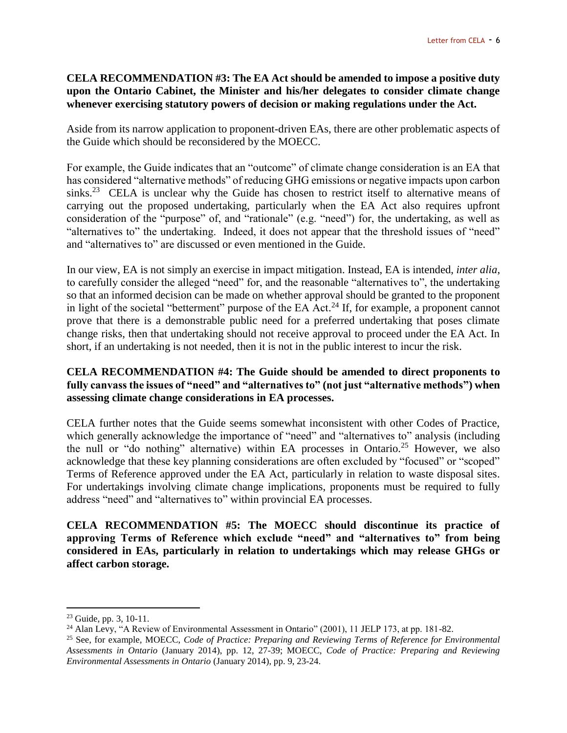#### **CELA RECOMMENDATION #3: The EA Act should be amended to impose a positive duty upon the Ontario Cabinet, the Minister and his/her delegates to consider climate change whenever exercising statutory powers of decision or making regulations under the Act.**

Aside from its narrow application to proponent-driven EAs, there are other problematic aspects of the Guide which should be reconsidered by the MOECC.

For example, the Guide indicates that an "outcome" of climate change consideration is an EA that has considered "alternative methods" of reducing GHG emissions or negative impacts upon carbon sinks.<sup>23</sup> CELA is unclear why the Guide has chosen to restrict itself to alternative means of carrying out the proposed undertaking, particularly when the EA Act also requires upfront consideration of the "purpose" of, and "rationale" (e.g. "need") for, the undertaking, as well as "alternatives to" the undertaking. Indeed, it does not appear that the threshold issues of "need" and "alternatives to" are discussed or even mentioned in the Guide.

In our view, EA is not simply an exercise in impact mitigation. Instead, EA is intended, *inter alia*, to carefully consider the alleged "need" for, and the reasonable "alternatives to", the undertaking so that an informed decision can be made on whether approval should be granted to the proponent in light of the societal "betterment" purpose of the EA Act.<sup>24</sup> If, for example, a proponent cannot prove that there is a demonstrable public need for a preferred undertaking that poses climate change risks, then that undertaking should not receive approval to proceed under the EA Act. In short, if an undertaking is not needed, then it is not in the public interest to incur the risk.

#### **CELA RECOMMENDATION #4: The Guide should be amended to direct proponents to fully canvass the issues of "need" and "alternatives to" (not just "alternative methods") when assessing climate change considerations in EA processes.**

CELA further notes that the Guide seems somewhat inconsistent with other Codes of Practice, which generally acknowledge the importance of "need" and "alternatives to" analysis (including the null or "do nothing" alternative) within EA processes in Ontario.<sup>25</sup> However, we also acknowledge that these key planning considerations are often excluded by "focused" or "scoped" Terms of Reference approved under the EA Act, particularly in relation to waste disposal sites. For undertakings involving climate change implications, proponents must be required to fully address "need" and "alternatives to" within provincial EA processes.

**CELA RECOMMENDATION #5: The MOECC should discontinue its practice of approving Terms of Reference which exclude "need" and "alternatives to" from being considered in EAs, particularly in relation to undertakings which may release GHGs or affect carbon storage.** 

<sup>23</sup> Guide, pp. 3, 10-11.

<sup>&</sup>lt;sup>24</sup> Alan Levy, "A Review of Environmental Assessment in Ontario" (2001), 11 JELP 173, at pp. 181-82.

<sup>25</sup> See, for example*,* MOECC, *Code of Practice: Preparing and Reviewing Terms of Reference for Environmental Assessments in Ontario* (January 2014), pp. 12, 27-39; MOECC, *Code of Practice: Preparing and Reviewing Environmental Assessments in Ontario* (January 2014), pp. 9, 23-24.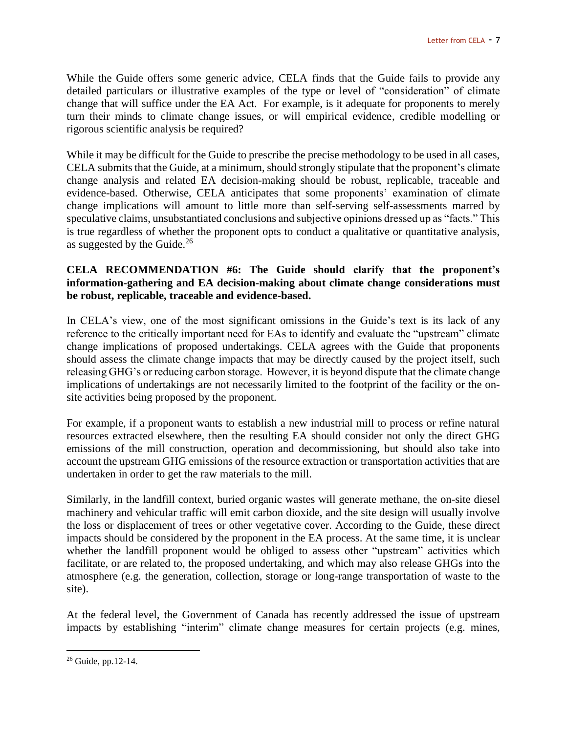While the Guide offers some generic advice, CELA finds that the Guide fails to provide any detailed particulars or illustrative examples of the type or level of "consideration" of climate change that will suffice under the EA Act. For example, is it adequate for proponents to merely turn their minds to climate change issues, or will empirical evidence, credible modelling or rigorous scientific analysis be required?

While it may be difficult for the Guide to prescribe the precise methodology to be used in all cases, CELA submits that the Guide, at a minimum, should strongly stipulate that the proponent's climate change analysis and related EA decision-making should be robust, replicable, traceable and evidence-based. Otherwise, CELA anticipates that some proponents' examination of climate change implications will amount to little more than self-serving self-assessments marred by speculative claims, unsubstantiated conclusions and subjective opinions dressed up as "facts." This is true regardless of whether the proponent opts to conduct a qualitative or quantitative analysis, as suggested by the Guide.<sup>26</sup>

#### **CELA RECOMMENDATION #6: The Guide should clarify that the proponent's information-gathering and EA decision-making about climate change considerations must be robust, replicable, traceable and evidence-based.**

In CELA's view, one of the most significant omissions in the Guide's text is its lack of any reference to the critically important need for EAs to identify and evaluate the "upstream" climate change implications of proposed undertakings. CELA agrees with the Guide that proponents should assess the climate change impacts that may be directly caused by the project itself, such releasing GHG's or reducing carbon storage. However, it is beyond dispute that the climate change implications of undertakings are not necessarily limited to the footprint of the facility or the onsite activities being proposed by the proponent.

For example, if a proponent wants to establish a new industrial mill to process or refine natural resources extracted elsewhere, then the resulting EA should consider not only the direct GHG emissions of the mill construction, operation and decommissioning, but should also take into account the upstream GHG emissions of the resource extraction or transportation activities that are undertaken in order to get the raw materials to the mill.

Similarly, in the landfill context, buried organic wastes will generate methane, the on-site diesel machinery and vehicular traffic will emit carbon dioxide, and the site design will usually involve the loss or displacement of trees or other vegetative cover. According to the Guide, these direct impacts should be considered by the proponent in the EA process. At the same time, it is unclear whether the landfill proponent would be obliged to assess other "upstream" activities which facilitate, or are related to, the proposed undertaking, and which may also release GHGs into the atmosphere (e.g. the generation, collection, storage or long-range transportation of waste to the site).

At the federal level, the Government of Canada has recently addressed the issue of upstream impacts by establishing "interim" climate change measures for certain projects (e.g. mines,

 $26$  Guide, pp.12-14.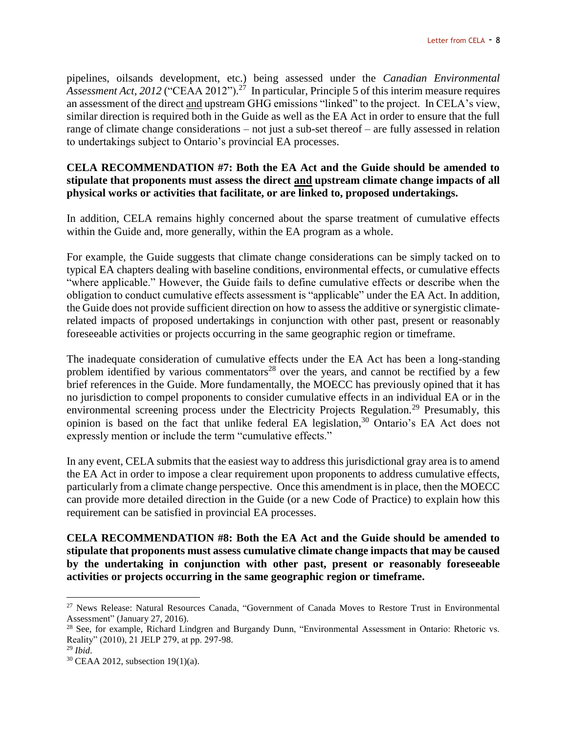pipelines, oilsands development, etc.) being assessed under the *Canadian Environmental Assessment Act, 2012* ("CEAA 2012"). <sup>27</sup> In particular, Principle 5 of this interim measure requires an assessment of the direct and upstream GHG emissions "linked" to the project. In CELA's view, similar direction is required both in the Guide as well as the EA Act in order to ensure that the full range of climate change considerations – not just a sub-set thereof – are fully assessed in relation to undertakings subject to Ontario's provincial EA processes.

#### **CELA RECOMMENDATION #7: Both the EA Act and the Guide should be amended to stipulate that proponents must assess the direct and upstream climate change impacts of all physical works or activities that facilitate, or are linked to, proposed undertakings.**

In addition, CELA remains highly concerned about the sparse treatment of cumulative effects within the Guide and, more generally, within the EA program as a whole.

For example, the Guide suggests that climate change considerations can be simply tacked on to typical EA chapters dealing with baseline conditions, environmental effects, or cumulative effects "where applicable." However, the Guide fails to define cumulative effects or describe when the obligation to conduct cumulative effects assessment is "applicable" under the EA Act. In addition, the Guide does not provide sufficient direction on how to assess the additive or synergistic climaterelated impacts of proposed undertakings in conjunction with other past, present or reasonably foreseeable activities or projects occurring in the same geographic region or timeframe.

The inadequate consideration of cumulative effects under the EA Act has been a long-standing problem identified by various commentators<sup>28</sup> over the years, and cannot be rectified by a few brief references in the Guide. More fundamentally, the MOECC has previously opined that it has no jurisdiction to compel proponents to consider cumulative effects in an individual EA or in the environmental screening process under the Electricity Projects Regulation.<sup>29</sup> Presumably, this opinion is based on the fact that unlike federal EA legislation,<sup>30</sup> Ontario's EA Act does not expressly mention or include the term "cumulative effects."

In any event, CELA submits that the easiest way to address this jurisdictional gray area is to amend the EA Act in order to impose a clear requirement upon proponents to address cumulative effects, particularly from a climate change perspective. Once this amendment is in place, then the MOECC can provide more detailed direction in the Guide (or a new Code of Practice) to explain how this requirement can be satisfied in provincial EA processes.

**CELA RECOMMENDATION #8: Both the EA Act and the Guide should be amended to stipulate that proponents must assess cumulative climate change impacts that may be caused by the undertaking in conjunction with other past, present or reasonably foreseeable activities or projects occurring in the same geographic region or timeframe.**

<sup>27</sup> News Release: Natural Resources Canada, "Government of Canada Moves to Restore Trust in Environmental Assessment" (January 27, 2016).

<sup>&</sup>lt;sup>28</sup> See, for example, Richard Lindgren and Burgandy Dunn, "Environmental Assessment in Ontario: Rhetoric vs. Reality" (2010), 21 JELP 279, at pp. 297-98.

<sup>29</sup> *Ibid*.

 $30$  CEAA 2012, subsection 19(1)(a).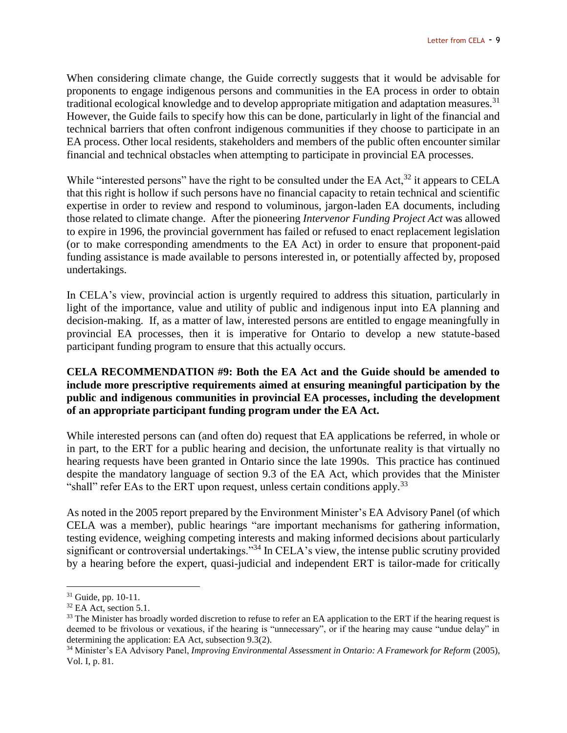When considering climate change, the Guide correctly suggests that it would be advisable for proponents to engage indigenous persons and communities in the EA process in order to obtain traditional ecological knowledge and to develop appropriate mitigation and adaptation measures.<sup>31</sup> However, the Guide fails to specify how this can be done, particularly in light of the financial and technical barriers that often confront indigenous communities if they choose to participate in an EA process. Other local residents, stakeholders and members of the public often encounter similar financial and technical obstacles when attempting to participate in provincial EA processes.

While "interested persons" have the right to be consulted under the EA Act,  $32$  it appears to CELA that this right is hollow if such persons have no financial capacity to retain technical and scientific expertise in order to review and respond to voluminous, jargon-laden EA documents, including those related to climate change. After the pioneering *Intervenor Funding Project Act* was allowed to expire in 1996, the provincial government has failed or refused to enact replacement legislation (or to make corresponding amendments to the EA Act) in order to ensure that proponent-paid funding assistance is made available to persons interested in, or potentially affected by, proposed undertakings.

In CELA's view, provincial action is urgently required to address this situation, particularly in light of the importance, value and utility of public and indigenous input into EA planning and decision-making. If, as a matter of law, interested persons are entitled to engage meaningfully in provincial EA processes, then it is imperative for Ontario to develop a new statute-based participant funding program to ensure that this actually occurs.

#### **CELA RECOMMENDATION #9: Both the EA Act and the Guide should be amended to include more prescriptive requirements aimed at ensuring meaningful participation by the public and indigenous communities in provincial EA processes, including the development of an appropriate participant funding program under the EA Act.**

While interested persons can (and often do) request that EA applications be referred, in whole or in part, to the ERT for a public hearing and decision, the unfortunate reality is that virtually no hearing requests have been granted in Ontario since the late 1990s. This practice has continued despite the mandatory language of section 9.3 of the EA Act, which provides that the Minister "shall" refer EAs to the ERT upon request, unless certain conditions apply.<sup>33</sup>

As noted in the 2005 report prepared by the Environment Minister's EA Advisory Panel (of which CELA was a member), public hearings "are important mechanisms for gathering information, testing evidence, weighing competing interests and making informed decisions about particularly significant or controversial undertakings."<sup>34</sup> In CELA's view, the intense public scrutiny provided by a hearing before the expert, quasi-judicial and independent ERT is tailor-made for critically

 $\overline{a}$ <sup>31</sup> Guide, pp. 10-11.

 $32$  EA Act, section 5.1.

 $33$  The Minister has broadly worded discretion to refuse to refer an EA application to the ERT if the hearing request is deemed to be frivolous or vexatious, if the hearing is "unnecessary", or if the hearing may cause "undue delay" in determining the application: EA Act, subsection 9.3(2).

<sup>34</sup> Minister's EA Advisory Panel, *Improving Environmental Assessment in Ontario: A Framework for Reform* (2005), Vol. I, p. 81.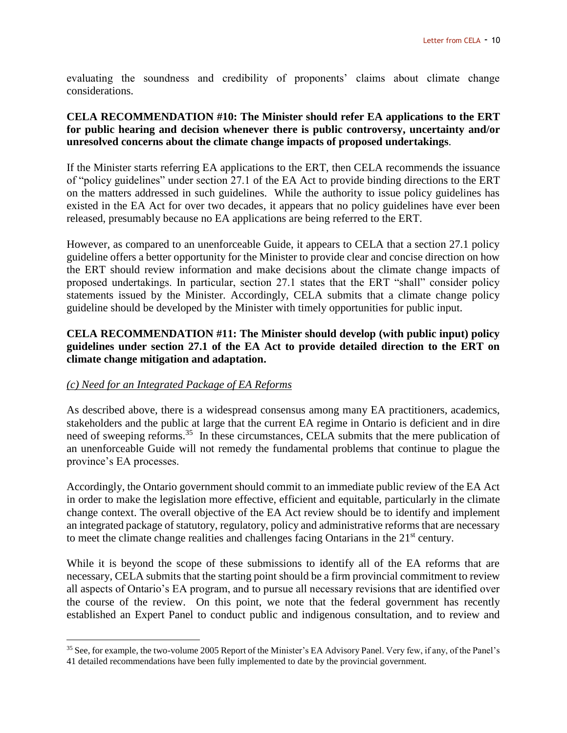evaluating the soundness and credibility of proponents' claims about climate change considerations.

#### **CELA RECOMMENDATION #10: The Minister should refer EA applications to the ERT for public hearing and decision whenever there is public controversy, uncertainty and/or unresolved concerns about the climate change impacts of proposed undertakings**.

If the Minister starts referring EA applications to the ERT, then CELA recommends the issuance of "policy guidelines" under section 27.1 of the EA Act to provide binding directions to the ERT on the matters addressed in such guidelines. While the authority to issue policy guidelines has existed in the EA Act for over two decades, it appears that no policy guidelines have ever been released, presumably because no EA applications are being referred to the ERT.

However, as compared to an unenforceable Guide, it appears to CELA that a section 27.1 policy guideline offers a better opportunity for the Minister to provide clear and concise direction on how the ERT should review information and make decisions about the climate change impacts of proposed undertakings. In particular, section 27.1 states that the ERT "shall" consider policy statements issued by the Minister. Accordingly, CELA submits that a climate change policy guideline should be developed by the Minister with timely opportunities for public input.

## **CELA RECOMMENDATION #11: The Minister should develop (with public input) policy guidelines under section 27.1 of the EA Act to provide detailed direction to the ERT on climate change mitigation and adaptation.**

## *(c) Need for an Integrated Package of EA Reforms*

 $\overline{a}$ 

As described above, there is a widespread consensus among many EA practitioners, academics, stakeholders and the public at large that the current EA regime in Ontario is deficient and in dire need of sweeping reforms.<sup>35</sup> In these circumstances, CELA submits that the mere publication of an unenforceable Guide will not remedy the fundamental problems that continue to plague the province's EA processes.

Accordingly, the Ontario government should commit to an immediate public review of the EA Act in order to make the legislation more effective, efficient and equitable, particularly in the climate change context. The overall objective of the EA Act review should be to identify and implement an integrated package of statutory, regulatory, policy and administrative reforms that are necessary to meet the climate change realities and challenges facing Ontarians in the 21<sup>st</sup> century.

While it is beyond the scope of these submissions to identify all of the EA reforms that are necessary, CELA submits that the starting point should be a firm provincial commitment to review all aspects of Ontario's EA program, and to pursue all necessary revisions that are identified over the course of the review. On this point, we note that the federal government has recently established an Expert Panel to conduct public and indigenous consultation, and to review and

<sup>35</sup> See, for example, the two-volume 2005 Report of the Minister's EA Advisory Panel. Very few, if any, of the Panel's 41 detailed recommendations have been fully implemented to date by the provincial government.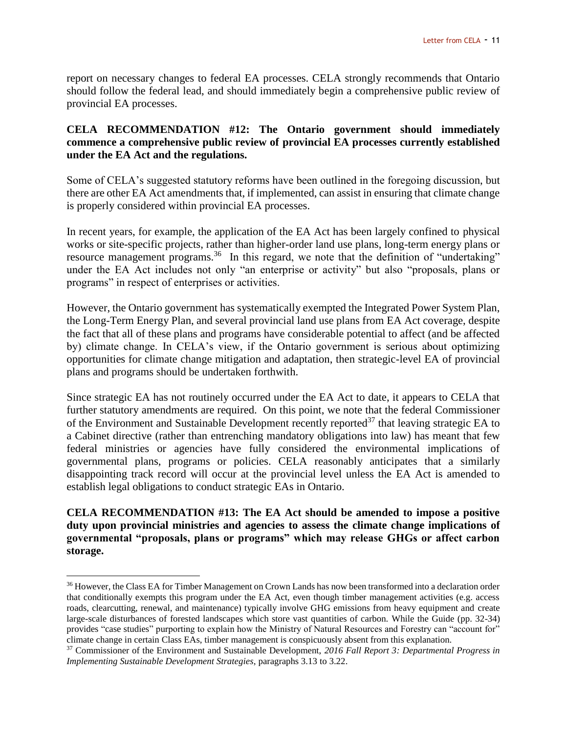report on necessary changes to federal EA processes. CELA strongly recommends that Ontario should follow the federal lead, and should immediately begin a comprehensive public review of provincial EA processes.

#### **CELA RECOMMENDATION #12: The Ontario government should immediately commence a comprehensive public review of provincial EA processes currently established under the EA Act and the regulations.**

Some of CELA's suggested statutory reforms have been outlined in the foregoing discussion, but there are other EA Act amendments that, if implemented, can assist in ensuring that climate change is properly considered within provincial EA processes.

In recent years, for example, the application of the EA Act has been largely confined to physical works or site-specific projects, rather than higher-order land use plans, long-term energy plans or resource management programs.<sup>36</sup> In this regard, we note that the definition of "undertaking" under the EA Act includes not only "an enterprise or activity" but also "proposals, plans or programs" in respect of enterprises or activities.

However, the Ontario government has systematically exempted the Integrated Power System Plan, the Long-Term Energy Plan, and several provincial land use plans from EA Act coverage, despite the fact that all of these plans and programs have considerable potential to affect (and be affected by) climate change. In CELA's view, if the Ontario government is serious about optimizing opportunities for climate change mitigation and adaptation, then strategic-level EA of provincial plans and programs should be undertaken forthwith.

Since strategic EA has not routinely occurred under the EA Act to date, it appears to CELA that further statutory amendments are required. On this point, we note that the federal Commissioner of the Environment and Sustainable Development recently reported<sup>37</sup> that leaving strategic EA to a Cabinet directive (rather than entrenching mandatory obligations into law) has meant that few federal ministries or agencies have fully considered the environmental implications of governmental plans, programs or policies. CELA reasonably anticipates that a similarly disappointing track record will occur at the provincial level unless the EA Act is amended to establish legal obligations to conduct strategic EAs in Ontario.

**CELA RECOMMENDATION #13: The EA Act should be amended to impose a positive duty upon provincial ministries and agencies to assess the climate change implications of governmental "proposals, plans or programs" which may release GHGs or affect carbon storage.**

<sup>&</sup>lt;sup>36</sup> However, the Class EA for Timber Management on Crown Lands has now been transformed into a declaration order that conditionally exempts this program under the EA Act, even though timber management activities (e.g. access roads, clearcutting, renewal, and maintenance) typically involve GHG emissions from heavy equipment and create large-scale disturbances of forested landscapes which store vast quantities of carbon. While the Guide (pp. 32-34) provides "case studies" purporting to explain how the Ministry of Natural Resources and Forestry can "account for" climate change in certain Class EAs, timber management is conspicuously absent from this explanation.

<sup>37</sup> Commissioner of the Environment and Sustainable Development, *2016 Fall Report 3: Departmental Progress in Implementing Sustainable Development Strategies*, paragraphs 3.13 to 3.22.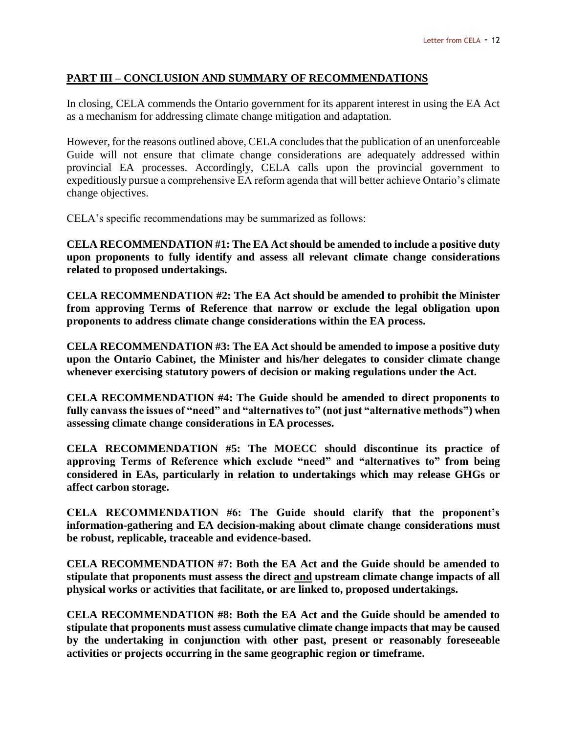#### **PART III – CONCLUSION AND SUMMARY OF RECOMMENDATIONS**

In closing, CELA commends the Ontario government for its apparent interest in using the EA Act as a mechanism for addressing climate change mitigation and adaptation.

However, for the reasons outlined above, CELA concludes that the publication of an unenforceable Guide will not ensure that climate change considerations are adequately addressed within provincial EA processes. Accordingly, CELA calls upon the provincial government to expeditiously pursue a comprehensive EA reform agenda that will better achieve Ontario's climate change objectives.

CELA's specific recommendations may be summarized as follows:

**CELA RECOMMENDATION #1: The EA Act should be amended to include a positive duty upon proponents to fully identify and assess all relevant climate change considerations related to proposed undertakings.**

**CELA RECOMMENDATION #2: The EA Act should be amended to prohibit the Minister from approving Terms of Reference that narrow or exclude the legal obligation upon proponents to address climate change considerations within the EA process.**

**CELA RECOMMENDATION #3: The EA Act should be amended to impose a positive duty upon the Ontario Cabinet, the Minister and his/her delegates to consider climate change whenever exercising statutory powers of decision or making regulations under the Act.** 

**CELA RECOMMENDATION #4: The Guide should be amended to direct proponents to fully canvass the issues of "need" and "alternatives to" (not just "alternative methods") when assessing climate change considerations in EA processes.**

**CELA RECOMMENDATION #5: The MOECC should discontinue its practice of approving Terms of Reference which exclude "need" and "alternatives to" from being considered in EAs, particularly in relation to undertakings which may release GHGs or affect carbon storage.** 

**CELA RECOMMENDATION #6: The Guide should clarify that the proponent's information-gathering and EA decision-making about climate change considerations must be robust, replicable, traceable and evidence-based.** 

**CELA RECOMMENDATION #7: Both the EA Act and the Guide should be amended to stipulate that proponents must assess the direct and upstream climate change impacts of all physical works or activities that facilitate, or are linked to, proposed undertakings.**

**CELA RECOMMENDATION #8: Both the EA Act and the Guide should be amended to stipulate that proponents must assess cumulative climate change impacts that may be caused by the undertaking in conjunction with other past, present or reasonably foreseeable activities or projects occurring in the same geographic region or timeframe.**